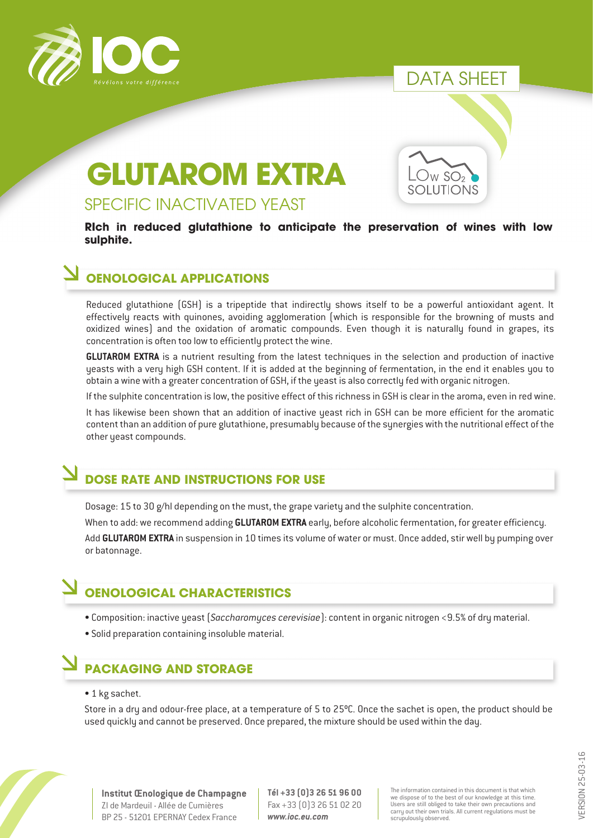

## DATA SHEET

 $W$  SO<sub>2</sub> **UTIONS** 

# **GLUTAROM EXTRA**

#### SPECIFIC INACTIVATED YEAST

**RIch in reduced glutathione to anticipate the preservation of wines with low sulphite.** 

#### **OENOLOGICAL APPLICATIONS**

Reduced glutathione (GSH) is a tripeptide that indirectly shows itself to be a powerful antioxidant agent. It effectively reacts with quinones, avoiding agglomeration (which is responsible for the browning of musts and oxidized wines) and the oxidation of aromatic compounds. Even though it is naturally found in grapes, its concentration is often too low to efficiently protect the wine.

**GLUTAROM EXTRA** is a nutrient resulting from the latest techniques in the selection and production of inactive yeasts with a very high GSH content. If it is added at the beginning of fermentation, in the end it enables you to obtain a wine with a greater concentration of GSH, if the yeast is also correctly fed with organic nitrogen.

If the sulphite concentration is low, the positive effect of this richness in GSH is clear in the aroma, even in red wine.

It has likewise been shown that an addition of inactive yeast rich in GSH can be more efficient for the aromatic content than an addition of pure glutathione, presumably because of the synergies with the nutritional effect of the other yeast compounds.

#### **DOSE RATE AND INSTRUCTIONS FOR USE**

Dosage: 15 to 30 g/hl depending on the must, the grape variety and the sulphite concentration.

When to add: we recommend adding **GLUTAROM EXTRA** early, before alcoholic fermentation, for greater efficiency.

Add **GLUTAROM EXTRA** in suspension in 10 times its volume of water or must. Once added, stir well by pumping over or batonnage.

### **OENOLOGICAL CHARACTERISTICS**

- Composition: inactive yeast (*Saccharomyces cerevisiae*): content in organic nitrogen <9.5% of dry material.
- Solid preparation containing insoluble material.

# **PACKAGING AND STORAGE**

• 1 kg sachet.

Store in a dry and odour-free place, at a temperature of 5 to 25ºC. Once the sachet is open, the product should be used quickly and cannot be preserved. Once prepared, the mixture should be used within the day.



**Institut Œnologique de Champagne** ZI de Mardeuil - Allée de Cumières BP 25 - 51201 EPERNAY Cedex France

**Tél +33 (0)3 26 51 96 00** Fax +33 (0)3 26 51 02 20 *www.ioc.eu.com*

The information contained in this document is that which we dispose of to the best of our knowledge at this time. Users are still obliged to take their own precautions and carry out their own trials. All current regulations must be scrupulously observed.